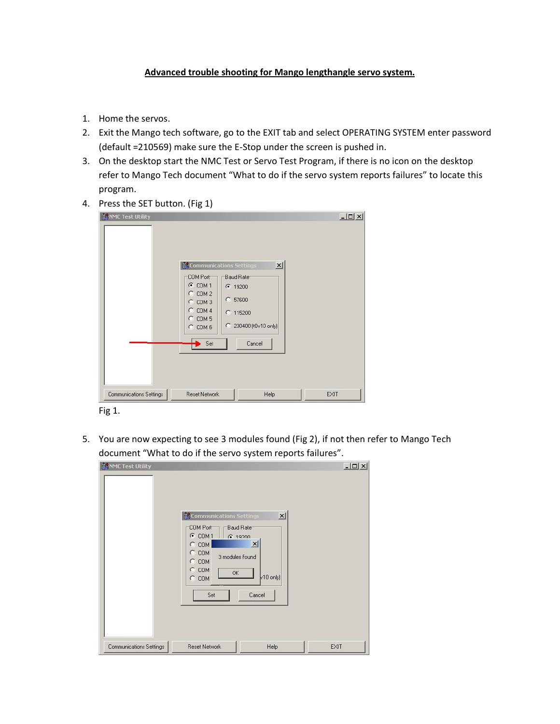## **Advanced trouble shooting for Mango lengthangle servo system.**

- 1. Home the servos.
- 2. Exit the Mango tech software, go to the EXIT tab and select OPERATING SYSTEM enter password (default =210569) make sure the E-Stop under the screen is pushed in.
- 3. On the desktop start the NMC Test or Servo Test Program, if there is no icon on the desktop refer to Mango Tech document "What to do if the servo system reports failures" to locate this program.
- 4. Press the SET button. (Fig 1)

| <b>NUME Test Utility</b> | <b>M</b> Communications Settings<br>COM Port<br>G COM 1<br>$C$ COM 2<br>C: COM 3<br>$C$ COM 4<br>C COM 5<br>$C$ COM $6$<br>Set | $\mathbf{x}$<br>Baud Rate<br>● 19200<br>$C$ 57600<br>€ 115200<br>C 230400 (t0v10 only)<br>Cancel | $-10 \times$ |
|--------------------------|--------------------------------------------------------------------------------------------------------------------------------|--------------------------------------------------------------------------------------------------|--------------|
| Communications Settings  | <b>Reset Network</b>                                                                                                           | Help                                                                                             | EXIT         |

Fig 1.

5. You are now expecting to see 3 modules found (Fig 2), if not then refer to Mango Tech document "What to do if the servo system reports failures".

|                         | 3 modules found<br>$C$ COM<br>$C$ COM<br>OK<br>$C$ COM<br>Set | $v10$ only)<br>Cancel |      |
|-------------------------|---------------------------------------------------------------|-----------------------|------|
| Communications Settings | <b>Reset Network</b>                                          | Help                  | EXIT |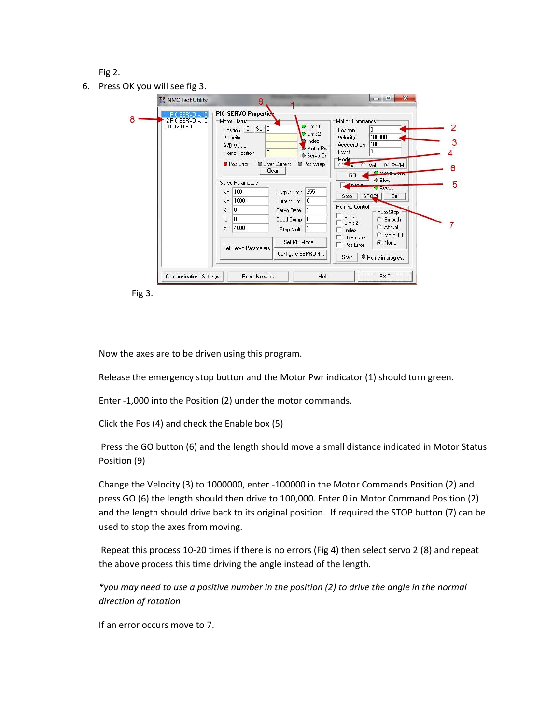Fig 2.

6. Press OK you will see fig 3.

| 1 PIC-SERVO v.10<br>2 PIC-SERVO v.10<br>3 PIC-IO v.1 | PIC-SERVO Properties<br>Motion Commands<br>Motor Status<br>O Limit 1<br>Position CIr Set 0<br>I۵<br>Position<br>O Limit 2<br>100000<br>Velocity<br>Velocity<br>п<br>lndex<br>100<br><b>Acceleration</b><br>١O<br>A/D Value<br>Motor Pwr<br>In.<br><b>PWM</b><br>In<br>Home Position<br>Servo On<br>Mode<br><b>•</b> Pos Error<br><b>O</b> Over Current<br><b>O</b> Pos Wrap<br>G PWM<br>Vel<br>$C + 0s$<br>Clear<br>O Move Done | 3<br>6 |
|------------------------------------------------------|---------------------------------------------------------------------------------------------------------------------------------------------------------------------------------------------------------------------------------------------------------------------------------------------------------------------------------------------------------------------------------------------------------------------------------|--------|
|                                                      | GO<br>Slew<br>Servo Parameters<br>لملطمعة<br>O Accel.<br>Output Limit 255<br>Kp 100<br>STOPL.<br>Off<br>Stop<br>1000<br>Current Limit 0<br>Kd<br>Homing Control<br>Ki<br>0<br>Servo Rate<br>Auto Stop<br>$\Box$ Limit 1<br>C Smooth<br>IL<br>٥<br>Dead Comp 0<br>Limit 2<br>Abrupt<br>EL 4000<br>Step Mult<br>Index                                                                                                             | 5      |
|                                                      | Motor Off<br>Overcurrent<br>Set I/O Mode<br>C None<br>Pos Error<br>Set Servo Parameters<br>Configure EEPROM<br>Start<br>Home in progress                                                                                                                                                                                                                                                                                        |        |

Fig 3.

Now the axes are to be driven using this program.

Release the emergency stop button and the Motor Pwr indicator (1) should turn green.

Enter -1,000 into the Position (2) under the motor commands.

Click the Pos (4) and check the Enable box (5)

Press the GO button (6) and the length should move a small distance indicated in Motor Status Position (9)

Change the Velocity (3) to 1000000, enter -100000 in the Motor Commands Position (2) and press GO (6) the length should then drive to 100,000. Enter 0 in Motor Command Position (2) and the length should drive back to its original position. If required the STOP button (7) can be used to stop the axes from moving.

Repeat this process 10-20 times if there is no errors (Fig 4) then select servo 2 (8) and repeat the above process this time driving the angle instead of the length.

*\*you may need to use a positive number in the position (2) to drive the angle in the normal direction of rotation*

If an error occurs move to 7.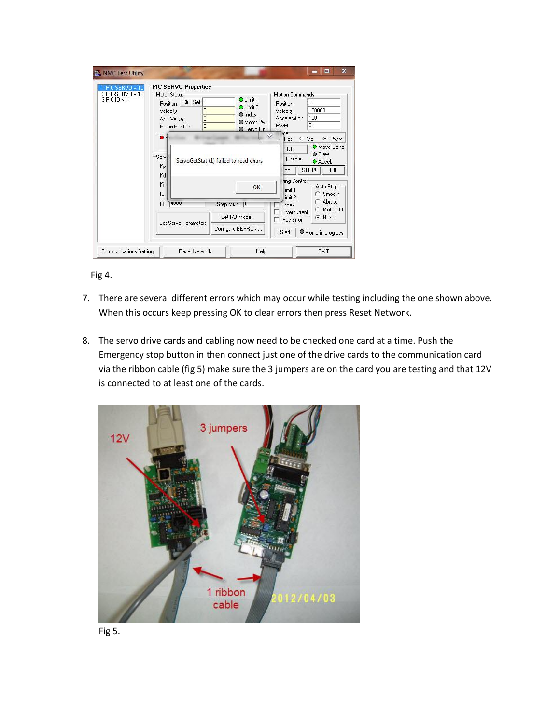| 1 PIC-SERVO v.10<br>2 PIC-SERVO v.10<br>3 PIC-IO v.1 | PIC-SERVO Properties<br>Motor Status<br>Velocity<br>A/D Value<br>Home Position | Position CIr Set 0<br>١o<br>0<br>In |                                               | O Limit 1<br>O Limit 2<br>$\bullet$ Index<br>Motor Pwr<br>Servo On | Motion Commands<br>Position<br>Velocity<br>Acceleration<br><b>PWM</b> | lo<br>100000<br>100<br>In                                                                 |
|------------------------------------------------------|--------------------------------------------------------------------------------|-------------------------------------|-----------------------------------------------|--------------------------------------------------------------------|-----------------------------------------------------------------------|-------------------------------------------------------------------------------------------|
|                                                      | $\bullet$ F<br>Servi<br>Kp<br>Kd<br>Ki                                         |                                     | ServoGetStat (1) failed to read chars         | $\Sigma$<br>OK                                                     | уdе<br>Pos<br>GO<br>Enable<br>top<br>ling Control<br>Limit 1          | $C$ Vel<br>G PWM<br>O Move Done<br><b>O</b> Slew<br>O Accel.<br>STOP!<br>Off<br>Auto Stop |
|                                                      | IL<br>FI.<br><b>4000</b>                                                       | Set Servo Parameters                | Step Mult<br>Set I/O Mode<br>Configure EEPROM |                                                                    | Limit 2<br>Index<br>Overcurrent<br>Pos Error<br>Start                 | Smooth<br>Abrupt<br>Motor Off<br>$\odot$ None<br>Home in progress                         |



- 7. There are several different errors which may occur while testing including the one shown above. When this occurs keep pressing OK to clear errors then press Reset Network.
- 8. The servo drive cards and cabling now need to be checked one card at a time. Push the Emergency stop button in then connect just one of the drive cards to the communication card via the ribbon cable (fig 5) make sure the 3 jumpers are on the card you are testing and that 12V is connected to at least one of the cards.